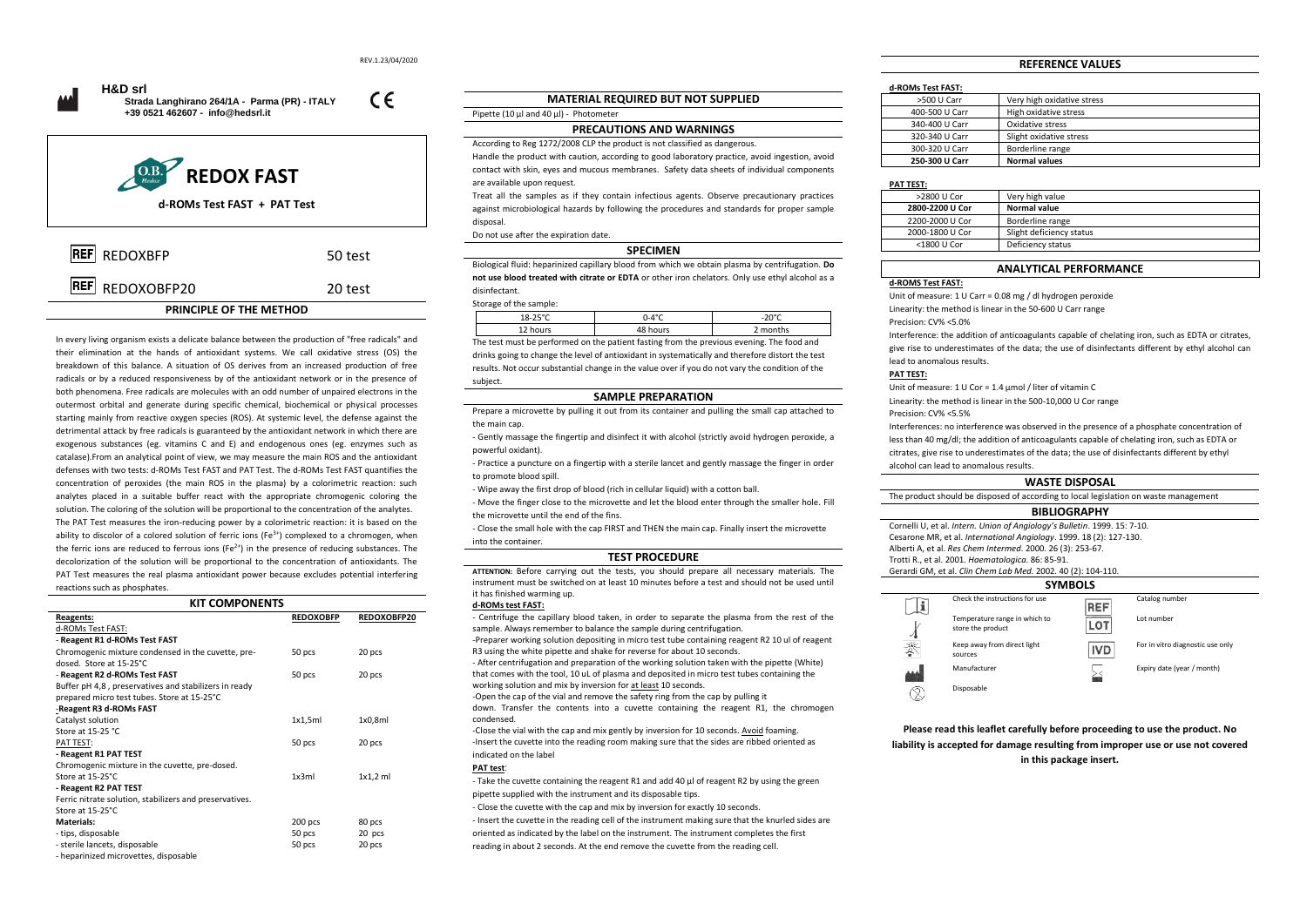$\epsilon$ 





# **PRINCIPLE OF THE METHOD**

In every living organism exists a delicate balance between the production of "free radicals" and their elimination at the hands of antioxidant systems. We call oxidative stress (OS) the breakdown of this balance. A situation of OS derives from an increased production of free radicals or by a reduced responsiveness by of the antioxidant network or in the presence of both phenomena. Free radicals are molecules with an odd number of unpaired electrons in the outermost orbital and generate during specific chemical, biochemical or physical processes starting mainly from reactive oxygen species (ROS). At systemic level, the defense against the detrimental attack by free radicals is guaranteed by the antioxidant network in which there are exogenous substances (eg. vitamins C and E) and endogenous ones (eg. enzymes such as catalase).From an analytical point of view, we may measure the main ROS and the antioxidant defenses with two tests: d-ROMs Test FAST and PAT Test. The d-ROMs Test FAST quantifies the concentration of peroxides (the main ROS in the plasma) by a colorimetric reaction: such analytes placed in a suitable buffer react with the appropriate chromogenic coloring the solution. The coloring of the solution will be proportional to the concentration of the analytes. The PAT Test measures the iron-reducing power by a colorimetric reaction: it is based on the ability to discolor of a colored solution of ferric ions (Fe<sup>3+</sup>) complexed to a chromogen, when the ferric ions are reduced to ferrous ions ( $Fe^{2+}$ ) in the presence of reducing substances. The decolorization of the solution will be proportional to the concentration of antioxidants. The PAT Test measures the real plasma antioxidant power because excludes potential interfering reactions such as phosphates.

| <b>KIT COMPONENTS</b>                                   |                  |             |
|---------------------------------------------------------|------------------|-------------|
| Reagents:                                               | <b>REDOXOBFP</b> | REDOXOBFP20 |
| d-ROMs Test FAST:                                       |                  |             |
| - Reagent R1 d-ROMs Test FAST                           |                  |             |
| Chromogenic mixture condensed in the cuvette, pre-      | 50 pcs           | 20 pcs      |
| dosed. Store at 15-25°C                                 |                  |             |
| - Reagent R2 d-ROMs Test FAST                           | 50 pcs           | 20 pcs      |
| Buffer pH 4,8, preservatives and stabilizers in ready   |                  |             |
| prepared micro test tubes. Store at 15-25°C             |                  |             |
| -Reagent R3 d-ROMs FAST                                 |                  |             |
| Catalyst solution                                       | 1x1,5m           | 1x0,8m      |
| Store at 15-25 °C                                       |                  |             |
| PAT TEST:                                               | 50 pcs           | 20 pcs      |
| - Reagent R1 PAT TEST                                   |                  |             |
| Chromogenic mixture in the cuvette, pre-dosed.          |                  |             |
| Store at 15-25°C.                                       | 1x3ml            | $1x1,2$ ml  |
| - Reagent R2 PAT TEST                                   |                  |             |
| Ferric nitrate solution, stabilizers and preservatives. |                  |             |
| Store at 15-25°C                                        |                  |             |
| Materials:                                              | 200 pcs          | 80 pcs      |
| - tips, disposable                                      | 50 pcs           | 20 pcs      |
| - sterile lancets, disposable                           | 50 pcs           | 20 pcs      |
| - henarinized microvettes, disposable                   |                  |             |

# **MATERIAL REQUIRED BUT NOT SUPPLIED**

## **PRECAUTIONS AND WARNINGS**

According to Reg 1272/2008 CLP the product is not classified as dangerous. Handle the product with caution, according to good laboratory practice, avoid ingestion, avoid contact with skin, eyes and mucous membranes. Safety data sheets of individual components are available upon request.

Treat all the samples as if they contain infectious agents. Observe precautionary practices against microbiological hazards by following the procedures and standards for proper sample disposal.

# Do not use after the expiration date. **SPECIMEN**

Biological fluid: heparinized capillary blood from which we obtain plasma by centrifugation. **Do not use blood treated with citrate or EDTA** or other iron chelators. Only use ethyl alcohol as a disinfectant.

### Storage of the sample:

Pipette (10 µl and 40 µl) - Photometer

| storage or the sample. |          |        |
|------------------------|----------|--------|
| $18-25°$               | ገ-4°C    | nn∘r   |
| 12 hours               | 48 hours | months |

The test must be performed on the patient fasting from the previous evening. The food and drinks going to change the level of antioxidant in systematically and therefore distort the test results. Not occur substantial change in the value over if you do not vary the condition of the subject.

### **SAMPLE PREPARATION**

Prepare a microvette by pulling it out from its container and pulling the small cap attached to the main can

- Gently massage the fingertip and disinfect it with alcohol (strictly avoid hydrogen peroxide, a powerful oxidant).

- Practice a puncture on a fingertip with a sterile lancet and gently massage the finger in order to promote blood spill.

- Wipe away the first drop of blood (rich in cellular liquid) with a cotton ball.

- Move the finger close to the microvette and let the blood enter through the smaller hole. Fill the microvette until the end of the fins.

- Close the small hole with the cap FIRST and THEN the main cap. Finally insert the microvette into the container.

### **TEST PROCEDURE**

**ATTENTION:** Before carrying out the tests, you should prepare all necessary materials. The instrument must be switched on at least 10 minutes before a test and should not be used until it has finished warming up.

**d-ROMs test FAST:**

- Centrifuge the capillary blood taken, in order to separate the plasma from the rest of the sample. Always remember to balance the sample during centrifugation. -Preparer working solution depositing in micro test tube containing reagent R2 10 ul of reagent

R3 using the white pipette and shake for reverse for about 10 seconds. - After centrifugation and preparation of the working solution taken with the pipette (White)

that comes with the tool, 10 uL of plasma and deposited in micro test tubes containing the working solution and mix by inversion for at least 10 seconds.

-Open the cap of the vial and remove the safety ring from the cap by pulling it down. Transfer the contents into a cuvette containing the reagent R1, the chromogen

condensed.

-Close the vial with the cap and mix gently by inversion for 10 seconds. Avoid foaming. -Insert the cuvette into the reading room making sure that the sides are ribbed oriented as indicated on the label

# **PAT test**:

- Take the cuvette containing the reagent R1 and add 40 μl of reagent R2 by using the green pipette supplied with the instrument and its disposable tips.

- Close the cuvette with the cap and mix by inversion for exactly 10 seconds. - Insert the cuvette in the reading cell of the instrument making sure that the knurled sides are oriented as indicated by the label on the instrument. The instrument completes the first

reading in about 2 seconds. At the end remove the cuvette from the reading cell.

# **REFERENCE VALUES**

# **d-ROMs Test FAST:**

| >500 U Carr    | Very high oxidative stress |
|----------------|----------------------------|
| 400-500 U Carr | High oxidative stress      |
| 340-400 U Carr | Oxidative stress           |
| 320-340 U Carr | Slight oxidative stress    |
| 300-320 U Carr | Borderline range           |
| 250-300 U Carr | <b>Normal values</b>       |

### **PAT TEST:**

| >2800 U Cor     | Very high value          |
|-----------------|--------------------------|
| 2800-2200 U Cor | <b>Normal value</b>      |
| 2200-2000 U Cor | Borderline range         |
| 2000-1800 U Cor | Slight deficiency status |
| <1800 U Cor     | Deficiency status        |
|                 |                          |

# **ANALYTICAL PERFORMANCE**

**d-ROMS Test FAST:**

Unit of measure: 1 U Carr = 0.08 mg / dl hydrogen peroxide

Linearity: the method is linear in the 50-600 U Carr range

Precision: CV% <5.0%

Interference: the addition of anticoagulants capable of chelating iron, such as EDTA or citrates, give rise to underestimates of the data; the use of disinfectants different by ethyl alcohol can lead to anomalous results.

### **PAT TEST:**

Unit of measure: 1 U Cor = 1.4 μmol / liter of vitamin C Linearity: the method is linear in the 500-10,000 U Cor range

Precision: CV% <5.5%

Interferences: no interference was observed in the presence of a phosphate concentration of less than 40 mg/dl; the addition of anticoagulants capable of chelating iron, such as EDTA or citrates, give rise to underestimates of the data; the use of disinfectants different by ethyl alcohol can lead to anomalous results.

### **WASTE DISPOSAL**

The product should be disposed of according to local legislation on waste management

### **BIBLIOGRAPHY**

Cornelli U, et al. *Intern. Union of Angiology's Bulletin*. 1999. 15: 7-10. Cesarone MR, et al. *International Angiology*. 1999. 18 (2): 127-130. Alberti A, et al. *Res Chem Intermed*. 2000. 26 (3): 253-67.

Trotti R., et al. 2001. *Haematologica*. 86: 85-91.

Gerardi GM, et al. *Clin Chem Lab Med.* 2002. 40 (2): 104-110.



**Please read this leaflet carefully before proceeding to use the product. No liability is accepted for damage resulting from improper use or use not covered in this package insert.**